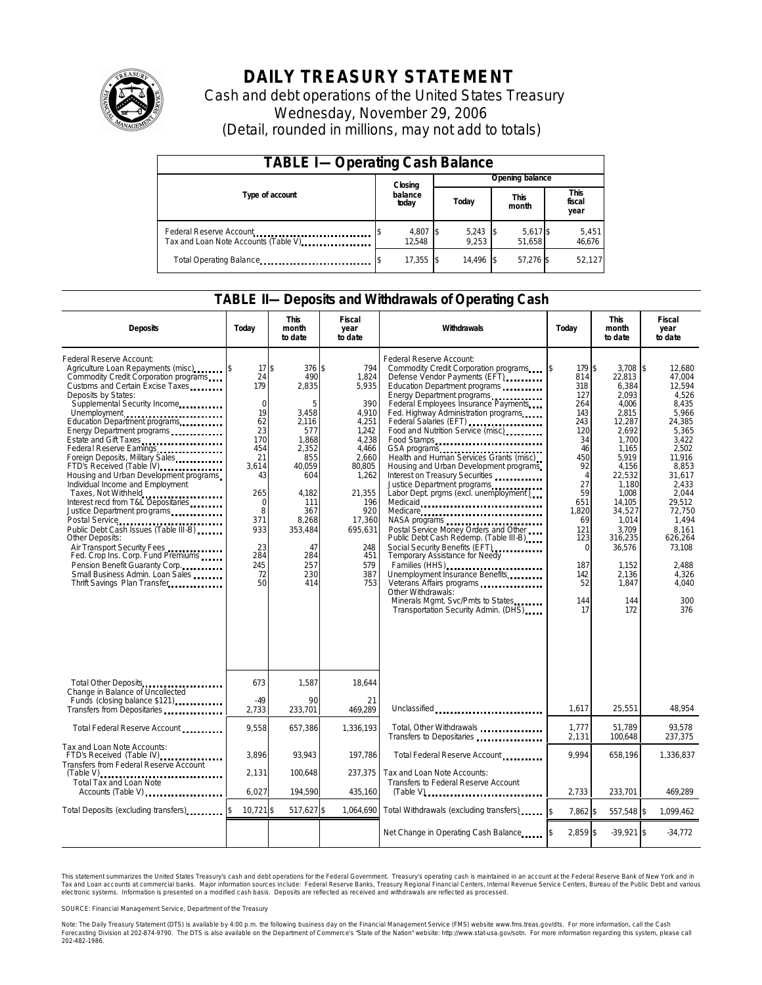

# **DAILY TREASURY STATEMENT**

Cash and debt operations of the United States Treasury Wednesday, November 29, 2006 (Detail, rounded in millions, may not add to totals)

| <b>TABLE I-Operating Cash Balance</b>                            |  |                    |  |                     |  |                      |  |                               |  |
|------------------------------------------------------------------|--|--------------------|--|---------------------|--|----------------------|--|-------------------------------|--|
|                                                                  |  | Closing            |  | Opening balance     |  |                      |  |                               |  |
| Type of account                                                  |  | balance<br>today   |  | Today               |  | <b>This</b><br>month |  | <b>This</b><br>fiscal<br>year |  |
| Federal Reserve Account<br>Tax and Loan Note Accounts (Table V). |  | 4,807 \$<br>12,548 |  | $5,243$ \$<br>9.253 |  | 5,617 \$<br>51.658   |  | 5,451<br>46,676               |  |
| Total Operating Balance                                          |  | 17,355 \$          |  | 14.496              |  | 57.276 \$            |  | 52.127                        |  |

### **TABLE II—Deposits and Withdrawals of Operating Cash**

| <b>Deposits</b>                                                                                                                                                                                                                                                                                                                                                                                                                                                                                                                                                                                                                                                                                                                                                                                                                                                 | Today                                                                                                                                                         | <b>This</b><br>month<br>to date                                                                                                                                           | Fiscal<br>year<br>to date                                                                                                                                                             | <b>Withdrawals</b>                                                                                                                                                                                                                                                                                                                                                                                                                                                                                                                                                                                                                                                                                                                                                                                                                                                                                                | Today                                                                                                                                                                                              | <b>This</b><br>month<br>to date                                                                                                                                                                                                            | <b>Fiscal</b><br>year<br>to date                                                                                                                                                                                                                    |
|-----------------------------------------------------------------------------------------------------------------------------------------------------------------------------------------------------------------------------------------------------------------------------------------------------------------------------------------------------------------------------------------------------------------------------------------------------------------------------------------------------------------------------------------------------------------------------------------------------------------------------------------------------------------------------------------------------------------------------------------------------------------------------------------------------------------------------------------------------------------|---------------------------------------------------------------------------------------------------------------------------------------------------------------|---------------------------------------------------------------------------------------------------------------------------------------------------------------------------|---------------------------------------------------------------------------------------------------------------------------------------------------------------------------------------|-------------------------------------------------------------------------------------------------------------------------------------------------------------------------------------------------------------------------------------------------------------------------------------------------------------------------------------------------------------------------------------------------------------------------------------------------------------------------------------------------------------------------------------------------------------------------------------------------------------------------------------------------------------------------------------------------------------------------------------------------------------------------------------------------------------------------------------------------------------------------------------------------------------------|----------------------------------------------------------------------------------------------------------------------------------------------------------------------------------------------------|--------------------------------------------------------------------------------------------------------------------------------------------------------------------------------------------------------------------------------------------|-----------------------------------------------------------------------------------------------------------------------------------------------------------------------------------------------------------------------------------------------------|
| Federal Reserve Account:<br>Agriculture Loan Repayments (misc)<br>Commodity Credit Corporation programs<br>Customs and Certain Excise Taxes<br>Deposits by States:<br>Supplemental Security Income<br>Unemployment<br>Education Department programs<br>Energy Department programs<br>Estate and Gift Taxes<br>Federal Reserve Earnings<br>Foreign Deposits, Military Sales<br>FTD's Received (Table IV) <b>[19]</b> FTD's Received (Table IV)<br>Housing and Urban Development programs<br>Individual Income and Employment<br>Taxes, Not Withheld<br>Interest recd from T&L Depositaries<br>Justice Department programs<br>Public Debt Cash Issues (Table III-B)<br>Other Deposits:<br>Air Transport Security Fees<br>Fed. Crop Ins. Corp. Fund Premiums<br>Pension Benefit Guaranty Corp.<br>Small Business Admin. Loan Sales<br>Thrift Savings Plan Transfer | 17S<br>24<br>179<br>$\mathbf 0$<br>19<br>62<br>23<br>170<br>454<br>21<br>3,614<br>43<br>265<br>$\mathbf 0$<br>8<br>371<br>933<br>23<br>284<br>245<br>72<br>50 | 376S<br>490<br>2,835<br>5<br>3,458<br>2,116<br>577<br>1.868<br>2,352<br>855<br>40,059<br>604<br>4.182<br>111<br>367<br>8.268<br>353.484<br>47<br>284<br>257<br>230<br>414 | 794<br>1,824<br>5,935<br>390<br>4,910<br>4,251<br>1,242<br>4.238<br>4,466<br>2,660<br>80,805<br>1,262<br>21,355<br>196<br>920<br>17.360<br>695.631<br>248<br>451<br>579<br>387<br>753 | Federal Reserve Account:<br>Commodity Credit Corporation programs \$<br>Defense Vendor Payments (EFT)<br>Education Department programs<br>Energy Department programs<br>Federal Employees Insurance Payments<br>Fed. Highway Administration programs<br>Federal Salaries (EFT)<br>Food and Nutrition Service (misc) [100]<br>Food Stamps<br>GSA programs<br>Health and Human Services Grants (misc)<br>Housing and Urban Development programs<br>Interest on Treasury Securities<br>Justice Department programs<br>Labor Dept. prgms (excl. unemployment)<br>Medicaid<br>Medicare<br>NASA programs<br>Postal Service Money Orders and Other<br>Public Debt Cash Redemp. (Table III-B)<br>Social Security Benefits (EFT)<br>Temporary Assistance for Needy<br>Families (HHS)<br>Unemployment Insurance Benefits<br>Other Withdrawals:<br>Minerals Mgmt. Svc/Pmts to States<br>Transportation Security Admin. (DHS) | 179 \$<br>814<br>318<br>127<br>264<br>143<br>243<br>120<br>34<br>46<br>450<br>92<br>$\overline{4}$<br>27<br>59<br>651<br>1,820<br>69<br>121<br>123<br>$\mathbf 0$<br>187<br>142<br>52<br>144<br>17 | 3.708<br>22,813<br>6,384<br>2.093<br>4,006<br>2,815<br>12,287<br>2,692<br>1.700<br>1.165<br>5.919<br>4,156<br>22,532<br>1.180<br>1,008<br>14.105<br>34,527<br>1.014<br>3,709<br>316,235<br>36,576<br>1,152<br>2,136<br>1.847<br>144<br>172 | \$<br>12.680<br>47,004<br>12,594<br>4,526<br>8,435<br>5.966<br>24,385<br>5,365<br>3.422<br>2.502<br>11.916<br>8,853<br>31,617<br>2.433<br>2,044<br>29.512<br>72.750<br>1.494<br>8.161<br>626,264<br>73,108<br>2.488<br>4,326<br>4.040<br>300<br>376 |
| Total Other Deposits<br>Change in Balance of Uncollected                                                                                                                                                                                                                                                                                                                                                                                                                                                                                                                                                                                                                                                                                                                                                                                                        | 673                                                                                                                                                           | 1.587                                                                                                                                                                     | 18.644                                                                                                                                                                                |                                                                                                                                                                                                                                                                                                                                                                                                                                                                                                                                                                                                                                                                                                                                                                                                                                                                                                                   |                                                                                                                                                                                                    |                                                                                                                                                                                                                                            |                                                                                                                                                                                                                                                     |
| Funds (closing balance \$121)<br>Transfers from Depositaries                                                                                                                                                                                                                                                                                                                                                                                                                                                                                                                                                                                                                                                                                                                                                                                                    | $-49$<br>2,733                                                                                                                                                | 90<br>233,701                                                                                                                                                             | 21<br>469.289                                                                                                                                                                         | Unclassified                                                                                                                                                                                                                                                                                                                                                                                                                                                                                                                                                                                                                                                                                                                                                                                                                                                                                                      | 1,617                                                                                                                                                                                              | 25,551                                                                                                                                                                                                                                     | 48,954                                                                                                                                                                                                                                              |
| Total Federal Reserve Account                                                                                                                                                                                                                                                                                                                                                                                                                                                                                                                                                                                                                                                                                                                                                                                                                                   | 9,558                                                                                                                                                         | 657,386                                                                                                                                                                   | 1,336,193                                                                                                                                                                             | Total, Other Withdrawals<br>Transfers to Depositaries                                                                                                                                                                                                                                                                                                                                                                                                                                                                                                                                                                                                                                                                                                                                                                                                                                                             | 1,777<br>2,131                                                                                                                                                                                     | 51.789<br>100,648                                                                                                                                                                                                                          | 93.578<br>237,375                                                                                                                                                                                                                                   |
| Tax and Loan Note Accounts:<br>FTD's Received (Table IV)<br>Transfers from Federal Reserve Account                                                                                                                                                                                                                                                                                                                                                                                                                                                                                                                                                                                                                                                                                                                                                              | 3,896                                                                                                                                                         | 93,943                                                                                                                                                                    | 197,786                                                                                                                                                                               | Total Federal Reserve Account                                                                                                                                                                                                                                                                                                                                                                                                                                                                                                                                                                                                                                                                                                                                                                                                                                                                                     | 9.994                                                                                                                                                                                              | 658,196                                                                                                                                                                                                                                    | 1,336,837                                                                                                                                                                                                                                           |
| <b>Total Tax and Loan Note</b><br>Accounts (Table V)                                                                                                                                                                                                                                                                                                                                                                                                                                                                                                                                                                                                                                                                                                                                                                                                            | 2,131<br>6.027                                                                                                                                                | 100.648<br>194.590                                                                                                                                                        | 237.375<br>435,160                                                                                                                                                                    | Tax and Loan Note Accounts:<br>Transfers to Federal Reserve Account                                                                                                                                                                                                                                                                                                                                                                                                                                                                                                                                                                                                                                                                                                                                                                                                                                               | 2.733                                                                                                                                                                                              | 233.701                                                                                                                                                                                                                                    | 469.289                                                                                                                                                                                                                                             |
| Total Deposits (excluding transfers)                                                                                                                                                                                                                                                                                                                                                                                                                                                                                                                                                                                                                                                                                                                                                                                                                            | 10,721 \$                                                                                                                                                     | 517,627 \$                                                                                                                                                                | 1,064,690                                                                                                                                                                             | Total Withdrawals (excluding transfers)                                                                                                                                                                                                                                                                                                                                                                                                                                                                                                                                                                                                                                                                                                                                                                                                                                                                           | 7,862 \$                                                                                                                                                                                           | 557,548 \$                                                                                                                                                                                                                                 | 1,099,462                                                                                                                                                                                                                                           |
|                                                                                                                                                                                                                                                                                                                                                                                                                                                                                                                                                                                                                                                                                                                                                                                                                                                                 |                                                                                                                                                               |                                                                                                                                                                           |                                                                                                                                                                                       | Net Change in Operating Cash Balance                                                                                                                                                                                                                                                                                                                                                                                                                                                                                                                                                                                                                                                                                                                                                                                                                                                                              | $2.859$ \$                                                                                                                                                                                         | $-39.921$ \$                                                                                                                                                                                                                               | $-34,772$                                                                                                                                                                                                                                           |

This statement summarizes the United States Treasury's cash and debt operations for the Federal Government. Treasury's operating cash is maintained in an account at the Federal Reserve Bank of New York and in Tax and Loan accounts at commercial banks. Major information sources include: Federal Reserve Banks, Treasury Regional Financial Centers, Internal Revenue Service Centers, Bureau of the Public Debt and various<br>electronic s

SOURCE: Financial Management Service, Department of the Treasury

Note: The Daily Treasury Statement (DTS) is available by 4:00 p.m. the following business day on the Financial Management Service (FMS) website www.fms.treas.gov/dts.<br>Forecasting Division at 202-874-9790. The DTS is also a 'S) is available by 4:00 p.m. the following business day on the Financial Management Service (FMS) website www.fms.treas.gov/dts. For more information, call the Cash<br>The DTS is also available on the Department of Commerce'